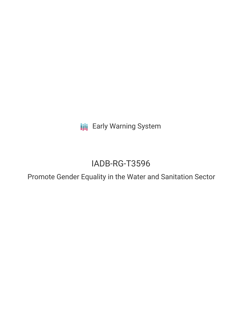**III** Early Warning System

# IADB-RG-T3596

Promote Gender Equality in the Water and Sanitation Sector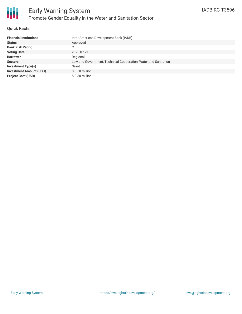

#### **Quick Facts**

| <b>Financial Institutions</b>  | Inter-American Development Bank (IADB)                          |
|--------------------------------|-----------------------------------------------------------------|
| <b>Status</b>                  | Approved                                                        |
| <b>Bank Risk Rating</b>        | C                                                               |
| <b>Voting Date</b>             | 2020-07-21                                                      |
| <b>Borrower</b>                | Regional                                                        |
| <b>Sectors</b>                 | Law and Government, Technical Cooperation, Water and Sanitation |
| <b>Investment Type(s)</b>      | Grant                                                           |
| <b>Investment Amount (USD)</b> | $$0.50$ million                                                 |
| <b>Project Cost (USD)</b>      | $$0.50$ million                                                 |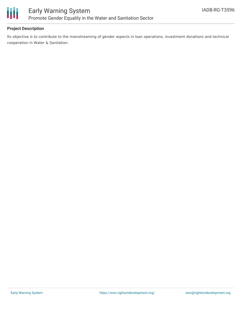

### **Project Description**

Its objective is to contribute to the mainstreaming of gender aspects in loan operations, investment donations and technical cooperation in Water & Sanitation.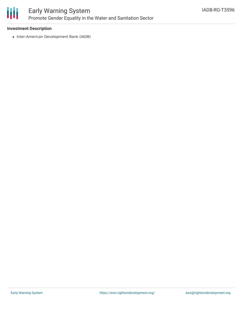

# Early Warning System Promote Gender Equality in the Water and Sanitation Sector

#### **Investment Description**

• Inter-American Development Bank (IADB)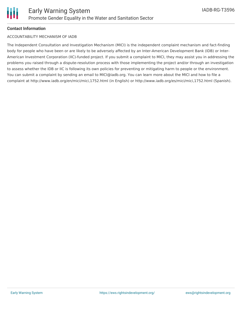## **Contact Information**

#### ACCOUNTABILITY MECHANISM OF IADB

The Independent Consultation and Investigation Mechanism (MICI) is the independent complaint mechanism and fact-finding body for people who have been or are likely to be adversely affected by an Inter-American Development Bank (IDB) or Inter-American Investment Corporation (IIC)-funded project. If you submit a complaint to MICI, they may assist you in addressing the problems you raised through a dispute-resolution process with those implementing the project and/or through an investigation to assess whether the IDB or IIC is following its own policies for preventing or mitigating harm to people or the environment. You can submit a complaint by sending an email to MICI@iadb.org. You can learn more about the MICI and how to file a complaint at http://www.iadb.org/en/mici/mici,1752.html (in English) or http://www.iadb.org/es/mici/mici,1752.html (Spanish).